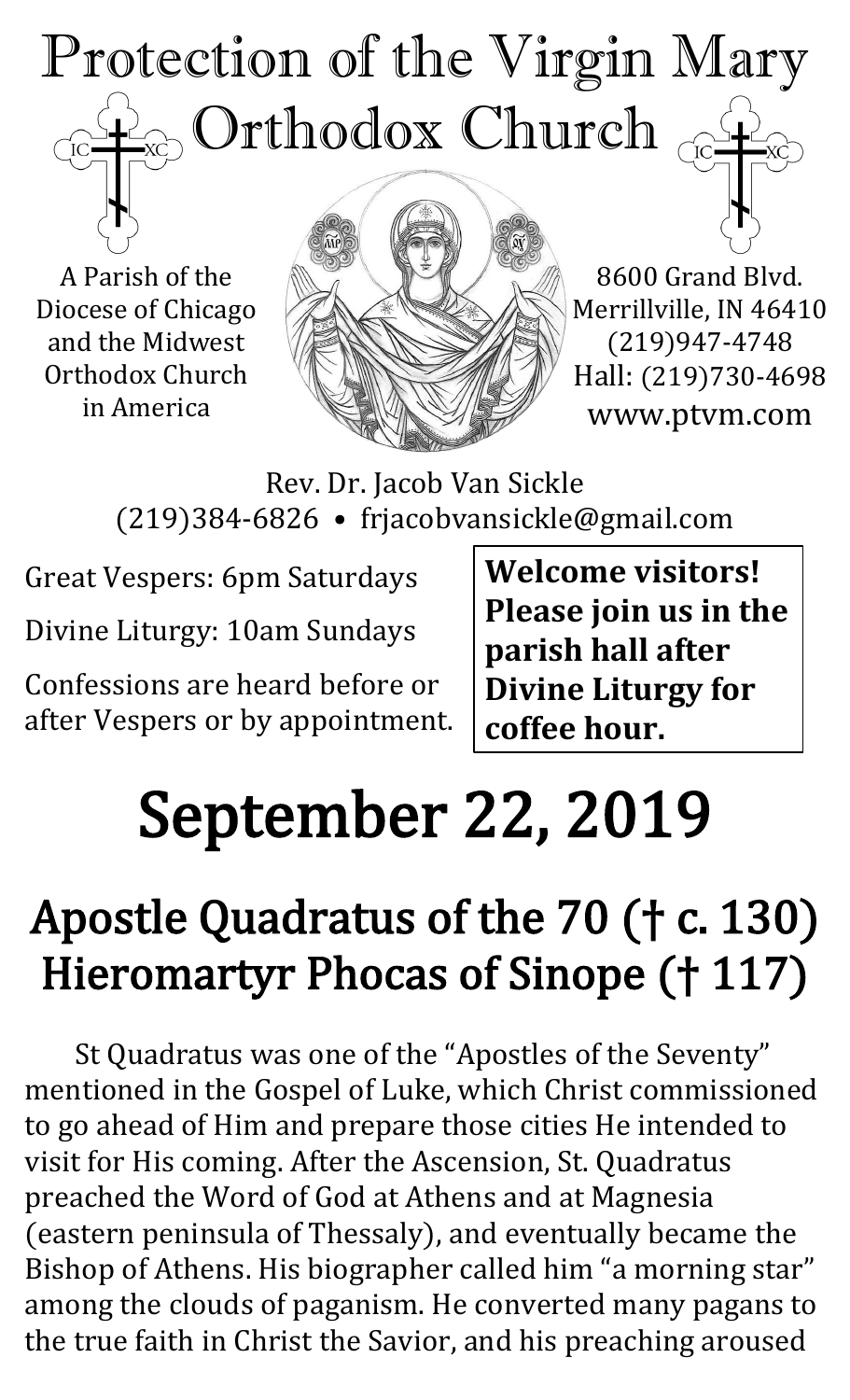### Protection of the Virgin Mary  $_{\odot}$  Orthodox Church  $_{\rm GC}$  $\overline{IC}$

A Parish of the Diocese of Chicago and the Midwest Orthodox Church in America



8600 Grand Blvd. Merrillville, IN 46410 (219)947-4748 Hall: (219)730-4698 www.ptvm.com

Rev. Dr. Jacob Van Sickle (219)384-6826 • frjacobvansickle@gmail.com

Great Vespers: 6pm Saturdays Divine Liturgy: 10am Sundays

Confessions are heard before or after Vespers or by appointment. **Welcome visitors! Please join us in the parish hall after Divine Liturgy for coffee hour.**

## September 22, 2019

## Apostle Quadratus of the 70 († c. 130) Hieromartyr Phocas of Sinope († 117)

St Quadratus was one of the "Apostles of the Seventy" mentioned in the Gospel of Luke, which Christ commissioned to go ahead of Him and prepare those cities He intended to visit for His coming. After the Ascension, St. Quadratus preached the Word of God at Athens and at Magnesia (eastern peninsula of Thessaly), and eventually became the Bishop of Athens. His biographer called him "a morning star" among the clouds of paganism. He converted many pagans to the true faith in Christ the Savior, and his preaching aroused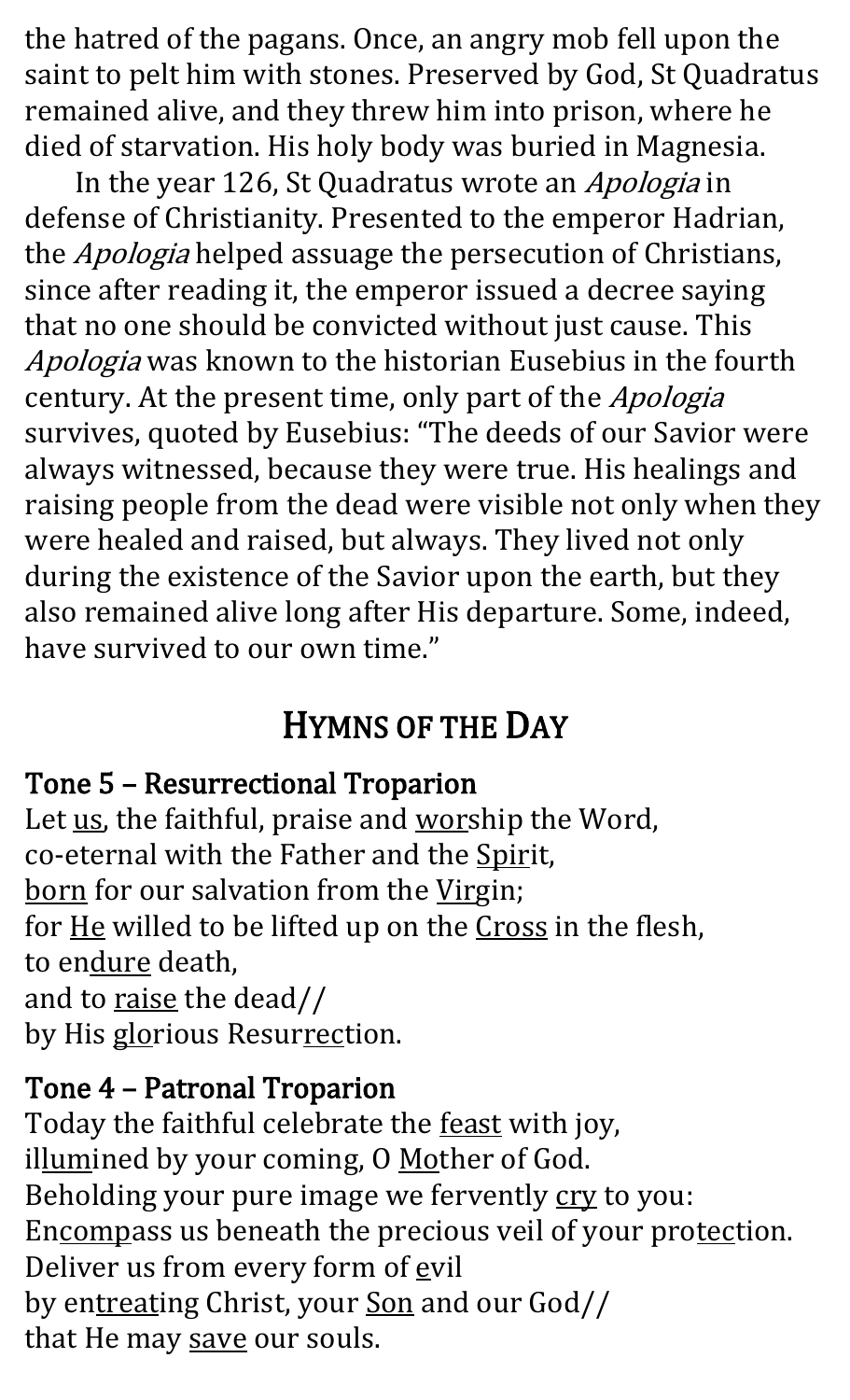the hatred of the pagans. Once, an angry mob fell upon the saint to pelt him with stones. Preserved by God, St Quadratus remained alive, and they threw him into prison, where he died of starvation. His holy body was buried in Magnesia.

In the year 126, St Quadratus wrote an Apologia in defense of Christianity. Presented to the emperor Hadrian, the *Apologia* helped assuage the persecution of Christians, since after reading it, the emperor issued a decree saying that no one should be convicted without just cause. This Apologia was known to the historian Eusebius in the fourth century. At the present time, only part of the Apologia survives, quoted by Eusebius: "The deeds of our Savior were always witnessed, because they were true. His healings and raising people from the dead were visible not only when they were healed and raised, but always. They lived not only during the existence of the Savior upon the earth, but they also remained alive long after His departure. Some, indeed, have survived to our own time."

#### HYMNS OF THE DAY

#### Tone 5 – Resurrectional Troparion

Let us, the faithful, praise and worship the Word, co-eternal with the Father and the Spirit, born for our salvation from the Virgin; for He willed to be lifted up on the Cross in the flesh, to endure death, and to raise the dead// by His glorious Resurrection.

#### Tone 4 – Patronal Troparion

Today the faithful celebrate the **feast** with joy, illumined by your coming, O Mother of God. Beholding your pure image we fervently cry to you: Encompass us beneath the precious veil of your protection. Deliver us from every form of evil by entreating Christ, your Son and our God// that He may save our souls.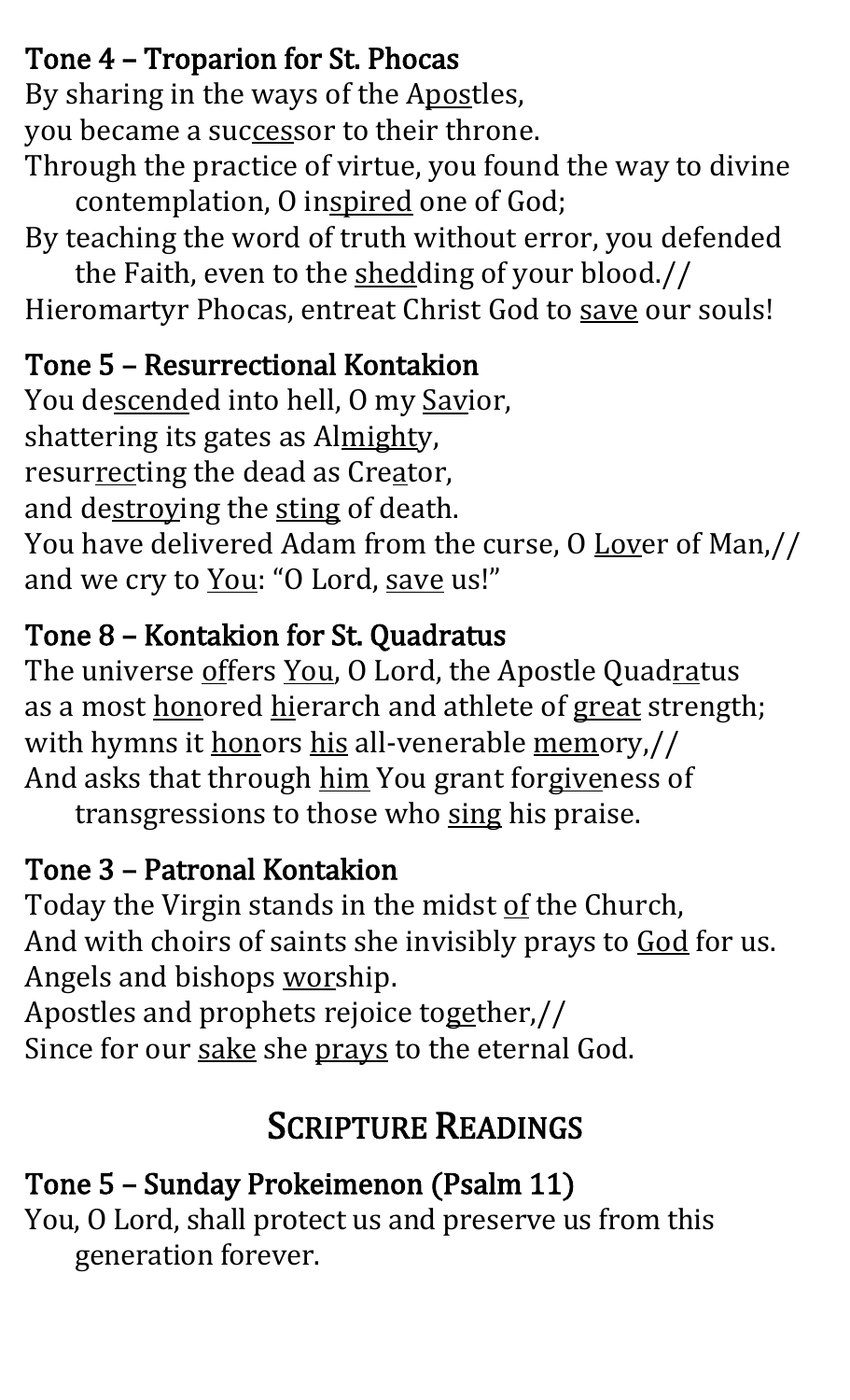#### Tone 4 – Troparion for St. Phocas

By sharing in the ways of the Apostles,

you became a successor to their throne.

Through the practice of virtue, you found the way to divine contemplation, O inspired one of God;

By teaching the word of truth without error, you defended

the Faith, even to the shedding of your blood.// Hieromartyr Phocas, entreat Christ God to save our souls!

#### Tone 5 – Resurrectional Kontakion

You descended into hell, O my Savior, shattering its gates as Almighty, resurrecting the dead as Creator, and destroying the sting of death. You have delivered Adam from the curse, O Lover of Man,// and we cry to You: "O Lord, save us!"

#### Tone 8 – Kontakion for St. Quadratus

The universe offers You, O Lord, the Apostle Quadratus as a most honored hierarch and athlete of great strength; with hymns it honors his all-venerable memory,// And asks that through him You grant forgiveness of

transgressions to those who sing his praise.

#### Tone 3 – Patronal Kontakion

Today the Virgin stands in the midst of the Church, And with choirs of saints she invisibly prays to God for us. Angels and bishops worship.

Apostles and prophets rejoice together,// Since for our sake she prays to the eternal God.

#### SCRIPTURE READINGS

#### Tone 5 – Sunday Prokeimenon (Psalm 11)

You, O Lord, shall protect us and preserve us from this generation forever.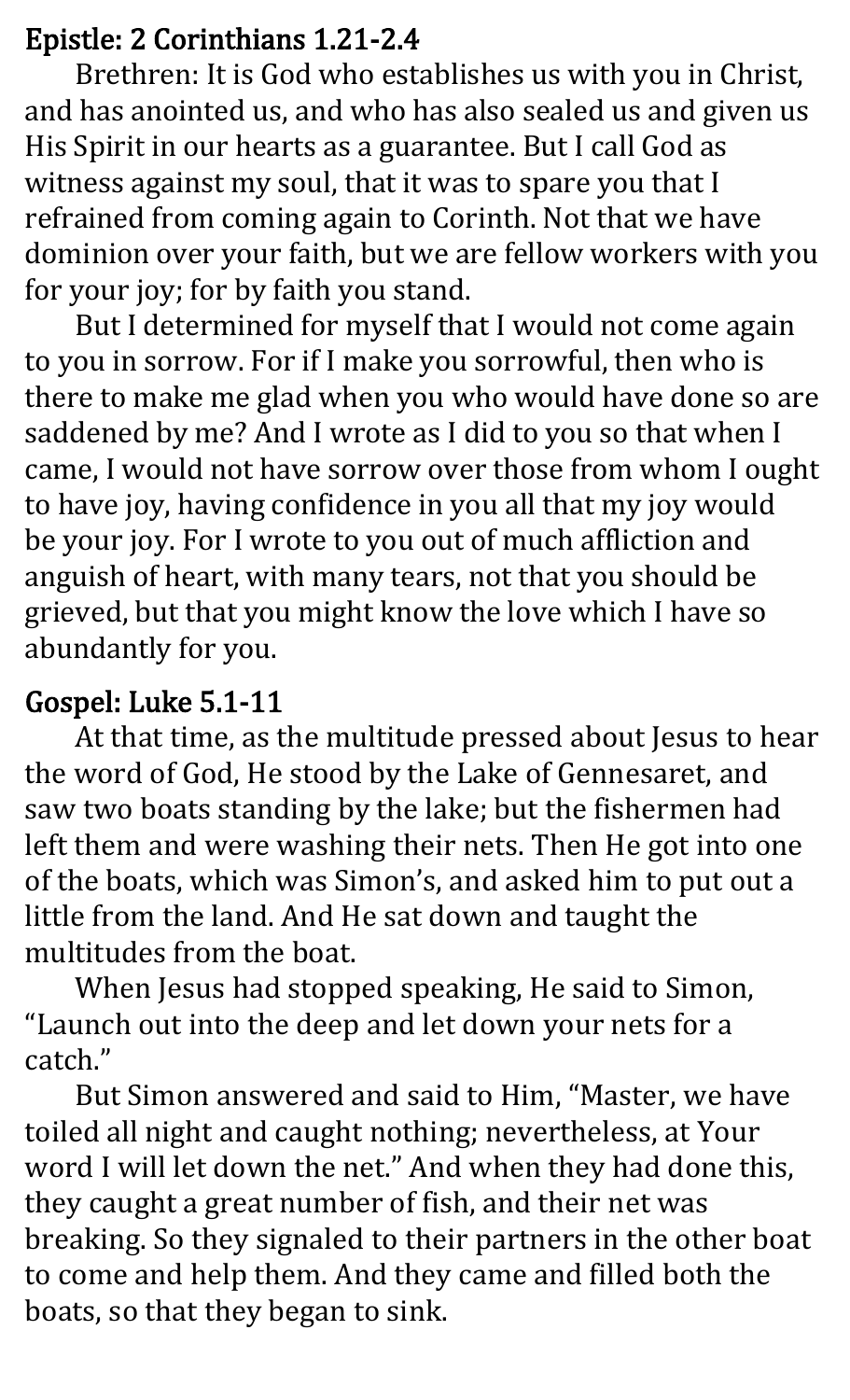#### Epistle: 2 Corinthians 1.21-2.4

Brethren: It is God who establishes us with you in Christ, and has anointed us, and who has also sealed us and given us His Spirit in our hearts as a guarantee. But I call God as witness against my soul, that it was to spare you that I refrained from coming again to Corinth. Not that we have dominion over your faith, but we are fellow workers with you for your joy; for by faith you stand.

But I determined for myself that I would not come again to you in sorrow. For if I make you sorrowful, then who is there to make me glad when you who would have done so are saddened by me? And I wrote as I did to you so that when I came, I would not have sorrow over those from whom I ought to have joy, having confidence in you all that my joy would be your joy. For I wrote to you out of much affliction and anguish of heart, with many tears, not that you should be grieved, but that you might know the love which I have so abundantly for you.

#### Gospel: Luke 5.1-11

At that time, as the multitude pressed about Jesus to hear the word of God, He stood by the Lake of Gennesaret, and saw two boats standing by the lake; but the fishermen had left them and were washing their nets. Then He got into one of the boats, which was Simon's, and asked him to put out a little from the land. And He sat down and taught the multitudes from the boat.

 When Jesus had stopped speaking, He said to Simon, "Launch out into the deep and let down your nets for a catch."

 But Simon answered and said to Him, "Master, we have toiled all night and caught nothing; nevertheless, at Your word I will let down the net." And when they had done this, they caught a great number of fish, and their net was breaking. So they signaled to their partners in the other boat to come and help them. And they came and filled both the boats, so that they began to sink.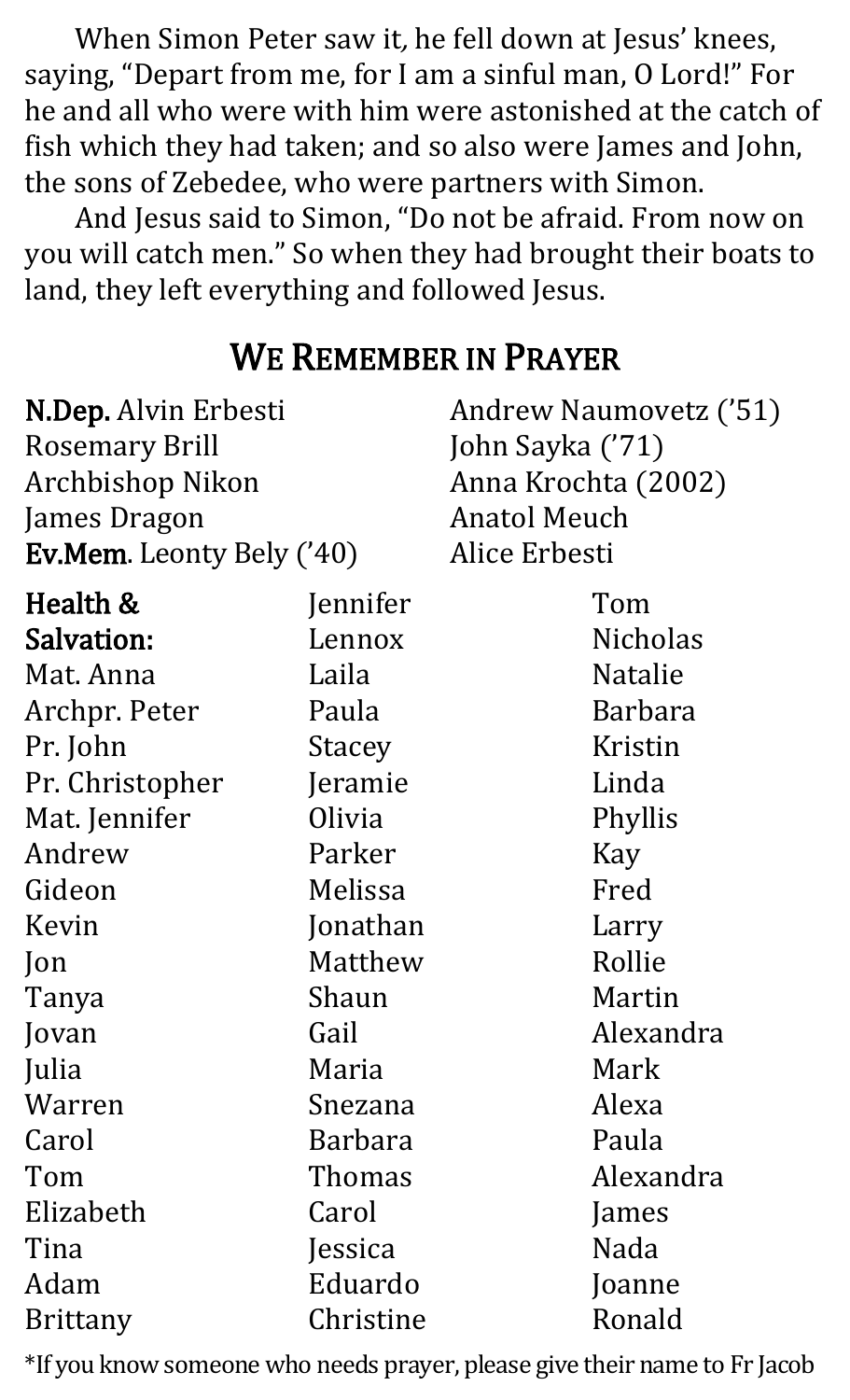When Simon Peter saw it, he fell down at Jesus' knees, saying, "Depart from me, for I am a sinful man, O Lord!" For he and all who were with him were astonished at the catch of fish which they had taken; and so also were James and John, the sons of Zebedee, who were partners with Simon.

And Jesus said to Simon, "Do not be afraid. From now on you will catch men." So when they had brought their boats to land, they left everything and followed Jesus.

#### WE REMEMBER IN PRAYER

| N.Dep. Alvin Erbesti             |               | Andrew Naumovetz ('51) |                 |
|----------------------------------|---------------|------------------------|-----------------|
| <b>Rosemary Brill</b>            |               | John Sayka ('71)       |                 |
| Archbishop Nikon                 |               | Anna Krochta (2002)    |                 |
| James Dragon                     |               | <b>Anatol Meuch</b>    |                 |
| <b>Ev.Mem.</b> Leonty Bely ('40) |               | Alice Erbesti          |                 |
| Health &                         | Jennifer      |                        | Tom             |
| Salvation:                       | Lennox        |                        | <b>Nicholas</b> |
| Mat. Anna                        | Laila         |                        | <b>Natalie</b>  |
| Archpr. Peter                    | Paula         |                        | <b>Barbara</b>  |
| Pr. John                         | <b>Stacey</b> |                        | Kristin         |
| Pr. Christopher                  | Jeramie       |                        | Linda           |
| Mat. Jennifer                    | Olivia        |                        | Phyllis         |
| Andrew                           | Parker        |                        | Kay             |
| Gideon                           | Melissa       |                        | Fred            |
| Kevin                            | Jonathan      |                        | Larry           |
| $\mathsf{lon}$                   | Matthew       |                        | Rollie          |
| Tanya                            | Shaun         |                        | Martin          |
| Jovan                            | Gail          |                        | Alexandra       |
| Julia                            | Maria         |                        | Mark            |
| Warren                           | Snezana       |                        | Alexa           |
| Carol                            | Barbara       |                        | Paula           |
| Tom                              | Thomas        |                        | Alexandra       |
| Elizabeth                        | Carol         |                        | James           |
| Tina                             | Jessica       |                        | Nada            |
| Adam                             | Eduardo       |                        | Joanne          |
| <b>Brittany</b>                  | Christine     |                        | Ronald          |

\*If you know someone who needs prayer, please give their name to Fr Jacob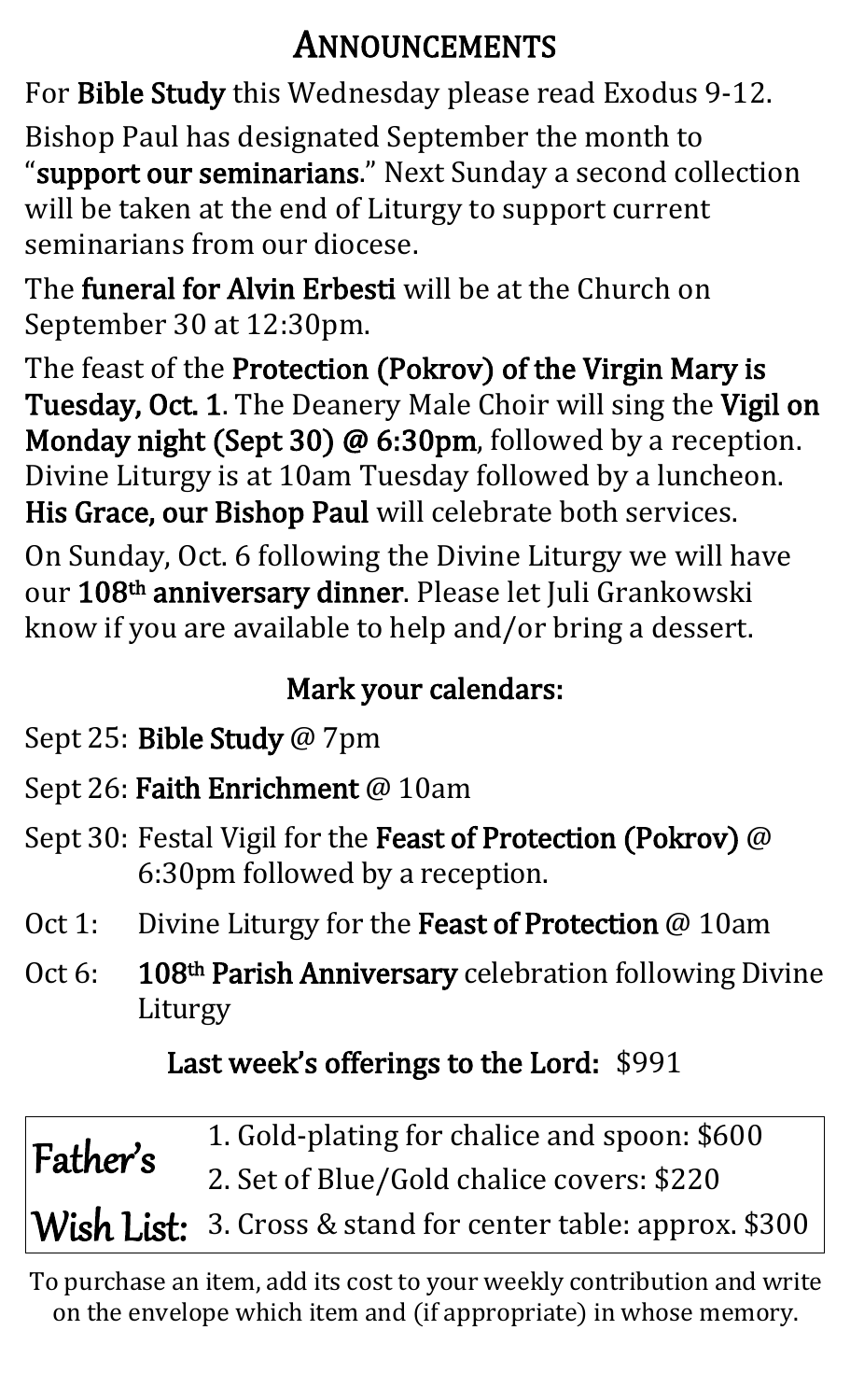#### ANNOUNCEMENTS

For Bible Study this Wednesday please read Exodus 9-12.

Bishop Paul has designated September the month to "support our seminarians." Next Sunday a second collection will be taken at the end of Liturgy to support current seminarians from our diocese.

The funeral for Alvin Erbesti will be at the Church on September 30 at 12:30pm.

The feast of the Protection (Pokrov) of the Virgin Mary is Tuesday, Oct. 1. The Deanery Male Choir will sing the Vigil on Monday night (Sept 30) @ 6:30pm, followed by a reception. Divine Liturgy is at 10am Tuesday followed by a luncheon. His Grace, our Bishop Paul will celebrate both services.

On Sunday, Oct. 6 following the Divine Liturgy we will have our 108<sup>th</sup> anniversary dinner. Please let Juli Grankowski know if you are available to help and/or bring a dessert.

#### Mark your calendars:

- Sept 25: Bible Study @ 7pm
- Sept 26: Faith Enrichment @ 10am
- Sept 30: Festal Vigil for the Feast of Protection (Pokrov) @ 6:30pm followed by a reception.
- Oct 1: Divine Liturgy for the Feast of Protection @ 10am
- Oct 6: 108<sup>th</sup> Parish Anniversary celebration following Divine Liturgy

#### Last week's offerings to the Lord: \$991

| Father's | 1. Gold-plating for chalice and spoon: \$600                |
|----------|-------------------------------------------------------------|
|          | 2. Set of Blue/Gold chalice covers: \$220                   |
|          | Wish List: 3. Cross & stand for center table: approx. \$300 |

To purchase an item, add its cost to your weekly contribution and write on the envelope which item and (if appropriate) in whose memory.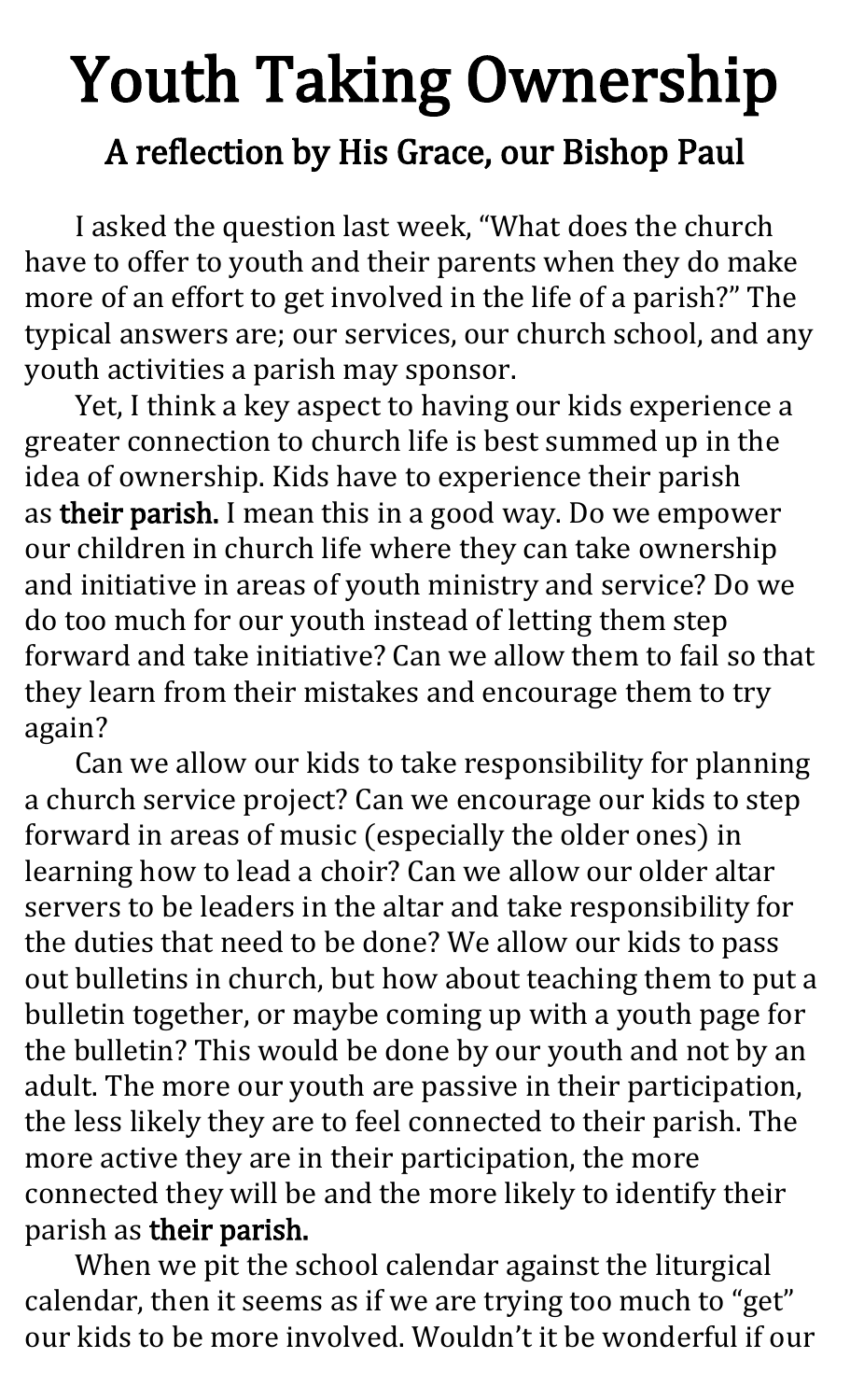# Youth Taking Ownership

#### A reflection by His Grace, our Bishop Paul

I asked the question last week, "What does the church have to offer to youth and their parents when they do make more of an effort to get involved in the life of a parish?" The typical answers are; our services, our church school, and any youth activities a parish may sponsor.

Yet, I think a key aspect to having our kids experience a greater connection to church life is best summed up in the idea of ownership. Kids have to experience their parish as their parish. I mean this in a good way. Do we empower our children in church life where they can take ownership and initiative in areas of youth ministry and service? Do we do too much for our youth instead of letting them step forward and take initiative? Can we allow them to fail so that they learn from their mistakes and encourage them to try again?

Can we allow our kids to take responsibility for planning a church service project? Can we encourage our kids to step forward in areas of music (especially the older ones) in learning how to lead a choir? Can we allow our older altar servers to be leaders in the altar and take responsibility for the duties that need to be done? We allow our kids to pass out bulletins in church, but how about teaching them to put a bulletin together, or maybe coming up with a youth page for the bulletin? This would be done by our youth and not by an adult. The more our youth are passive in their participation, the less likely they are to feel connected to their parish. The more active they are in their participation, the more connected they will be and the more likely to identify their parish as their parish.

When we pit the school calendar against the liturgical calendar, then it seems as if we are trying too much to "get" our kids to be more involved. Wouldn't it be wonderful if our